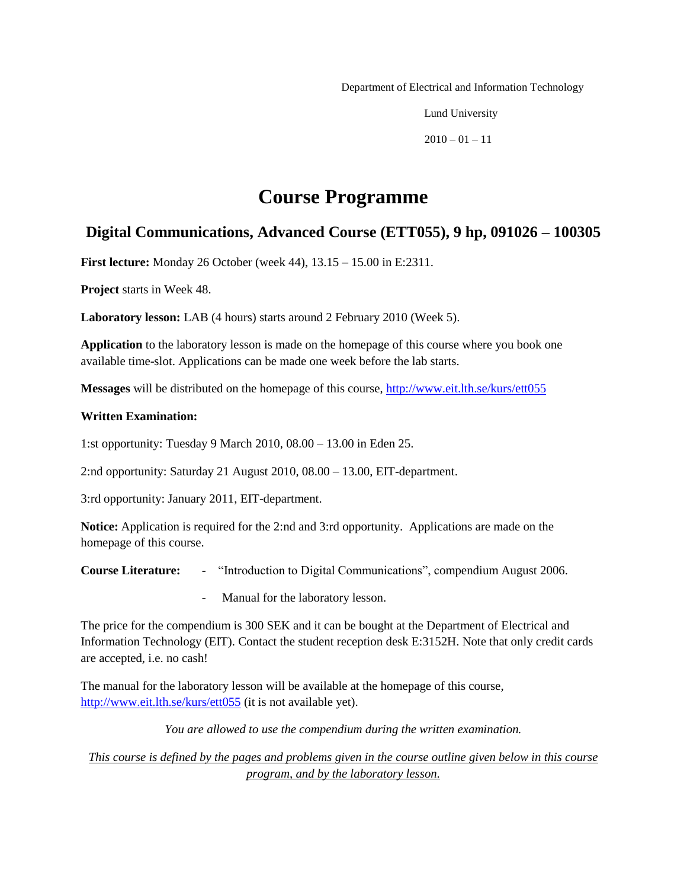Department of Electrical and Information Technology

Lund University

 $2010 - 01 - 11$ 

# **Course Programme**

# **Digital Communications, Advanced Course (ETT055), 9 hp, 091026 – 100305**

**First lecture:** Monday 26 October (week 44), 13.15 – 15.00 in E:2311.

**Project** starts in Week 48.

**Laboratory lesson:** LAB (4 hours) starts around 2 February 2010 (Week 5).

**Application** to the laboratory lesson is made on the homepage of this course where you book one available time-slot. Applications can be made one week before the lab starts.

**Messages** will be distributed on the homepage of this course,<http://www.eit.lth.se/kurs/ett055>

#### **Written Examination:**

1:st opportunity: Tuesday 9 March 2010, 08.00 – 13.00 in Eden 25.

2:nd opportunity: Saturday 21 August 2010, 08.00 – 13.00, EIT-department.

3:rd opportunity: January 2011, EIT-department.

**Notice:** Application is required for the 2:nd and 3:rd opportunity. Applications are made on the homepage of this course.

**Course Literature:** - "Introduction to Digital Communications", compendium August 2006.

- Manual for the laboratory lesson.

The price for the compendium is 300 SEK and it can be bought at the Department of Electrical and Information Technology (EIT). Contact the student reception desk E:3152H. Note that only credit cards are accepted, i.e. no cash!

The manual for the laboratory lesson will be available at the homepage of this course, <http://www.eit.lth.se/kurs/ett055> (it is not available yet).

*You are allowed to use the compendium during the written examination.*

*This course is defined by the pages and problems given in the course outline given below in this course program, and by the laboratory lesson.*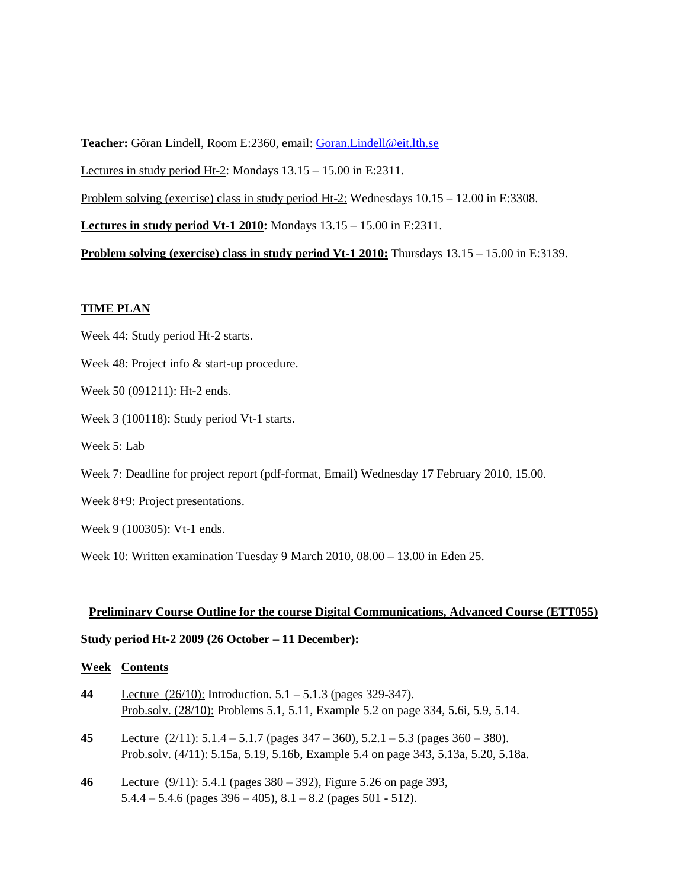**Teacher:** Göran Lindell, Room E:2360, email: [Goran.Lindell@eit.lth.se](mailto:Goran.Lindell@eit.lth.se) Lectures in study period Ht-2: Mondays 13.15 – 15.00 in E:2311.

Problem solving (exercise) class in study period Ht-2: Wednesdays 10.15 – 12.00 in E:3308.

**Lectures in study period Vt-1 2010:** Mondays 13.15 – 15.00 in E:2311.

**Problem solving (exercise) class in study period Vt-1 2010:** Thursdays 13.15 – 15.00 in E:3139.

## **TIME PLAN**

Week 44: Study period Ht-2 starts.

- Week 48: Project info  $&$  start-up procedure.
- Week 50 (091211): Ht-2 ends.
- Week 3 (100118): Study period Vt-1 starts.
- Week 5: Lab
- Week 7: Deadline for project report (pdf-format, Email) Wednesday 17 February 2010, 15.00.
- Week 8+9: Project presentations.
- Week 9 (100305): Vt-1 ends.

Week 10: Written examination Tuesday 9 March 2010, 08.00 – 13.00 in Eden 25.

#### **Preliminary Course Outline for the course Digital Communications, Advanced Course (ETT055)**

#### **Study period Ht-2 2009 (26 October – 11 December):**

### **Week Contents**

- **44** Lecture (26/10): Introduction. 5.1 5.1.3 (pages 329-347). Prob.solv. (28/10): Problems 5.1, 5.11, Example 5.2 on page 334, 5.6i, 5.9, 5.14.
- **45** Lecture (2/11): 5.1.4 5.1.7 (pages 347 360), 5.2.1 5.3 (pages 360 380). Prob.solv. (4/11): 5.15a, 5.19, 5.16b, Example 5.4 on page 343, 5.13a, 5.20, 5.18a.
- **46** Lecture (9/11): 5.4.1 (pages 380 392), Figure 5.26 on page 393,  $5.4.4 - 5.4.6$  (pages  $396 - 405$ ),  $8.1 - 8.2$  (pages  $501 - 512$ ).